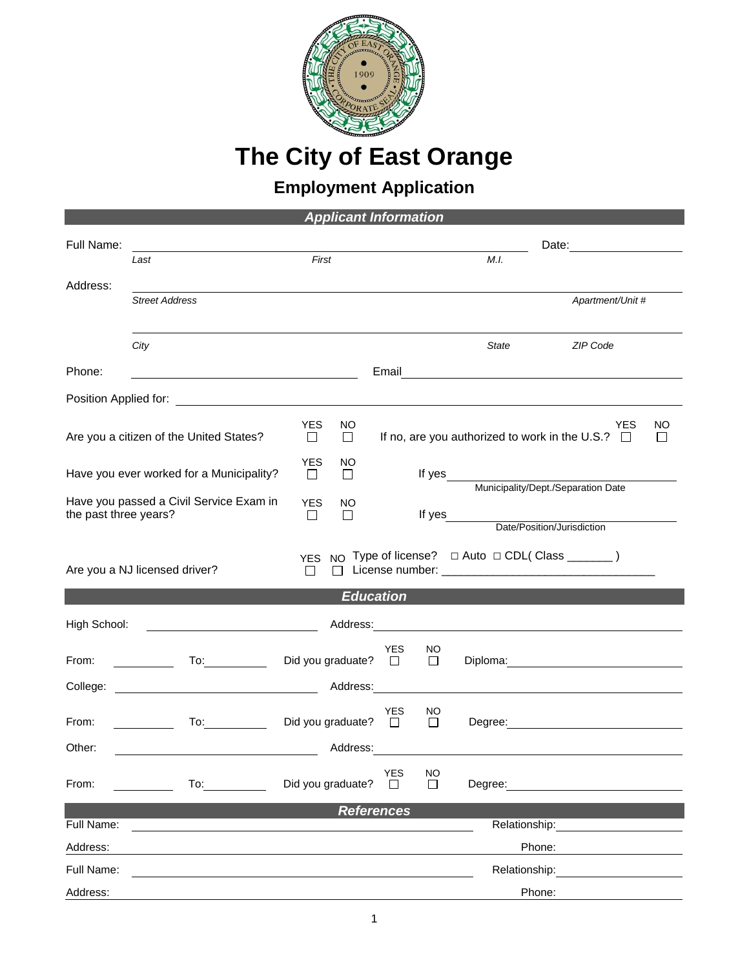

## **The City of East Orange**

## **Employment Application**

| <b>Applicant Information</b>                                     |                                                       |                      |                             |                                                              |                                              |                                                                                                                |  |  |  |  |  |
|------------------------------------------------------------------|-------------------------------------------------------|----------------------|-----------------------------|--------------------------------------------------------------|----------------------------------------------|----------------------------------------------------------------------------------------------------------------|--|--|--|--|--|
| Full Name:                                                       | Last                                                  | First                |                             |                                                              | M.I.                                         |                                                                                                                |  |  |  |  |  |
| Address:                                                         |                                                       |                      |                             |                                                              |                                              |                                                                                                                |  |  |  |  |  |
|                                                                  | <b>Street Address</b>                                 |                      |                             |                                                              |                                              | Apartment/Unit #                                                                                               |  |  |  |  |  |
|                                                                  |                                                       |                      |                             |                                                              |                                              |                                                                                                                |  |  |  |  |  |
|                                                                  | City                                                  |                      |                             |                                                              |                                              | ZIP Code<br>State                                                                                              |  |  |  |  |  |
| Phone:                                                           | <u> 1989 - Johann Barn, fransk politik fotograf (</u> |                      |                             | Email                                                        |                                              | <u> 1980 - Andrea Andrew Maria (h. 1980).</u>                                                                  |  |  |  |  |  |
|                                                                  |                                                       |                      |                             |                                                              |                                              |                                                                                                                |  |  |  |  |  |
| Are you a citizen of the United States?                          |                                                       | <b>YES</b><br>$\Box$ | NO.<br>П                    | YES<br>If no, are you authorized to work in the U.S.? $\Box$ |                                              |                                                                                                                |  |  |  |  |  |
| Have you ever worked for a Municipality?                         |                                                       | <b>YES</b><br>$\Box$ | NO.<br>$\Box$               |                                                              | If yes<br>Municipality/Dept./Separation Date |                                                                                                                |  |  |  |  |  |
| Have you passed a Civil Service Exam in<br>the past three years? |                                                       | <b>YES</b><br>□      | NO.<br>□                    |                                                              |                                              | If yes<br>Date/Position/Jurisdiction                                                                           |  |  |  |  |  |
|                                                                  |                                                       |                      |                             |                                                              |                                              |                                                                                                                |  |  |  |  |  |
| <b>NO</b><br>YES<br>Are you a NJ licensed driver?<br>$\Box$      |                                                       |                      |                             |                                                              |                                              | Type of license? □ Auto □ CDL( Class _______)                                                                  |  |  |  |  |  |
| <b>Education</b>                                                 |                                                       |                      |                             |                                                              |                                              |                                                                                                                |  |  |  |  |  |
| High School:                                                     |                                                       |                      | Address: 2008               |                                                              |                                              |                                                                                                                |  |  |  |  |  |
| From:                                                            |                                                       |                      | Did you graduate? $\square$ | <b>YES</b>                                                   | NO<br>$\Box$                                 |                                                                                                                |  |  |  |  |  |
|                                                                  |                                                       |                      |                             |                                                              |                                              | Address: 2008 and 2008 and 2008 and 2008 and 2008 and 2008 and 2008 and 2008 and 2008 and 2008 and 2008 and 20 |  |  |  |  |  |
| From:                                                            |                                                       |                      | Did you graduate? $\square$ | <b>YES</b>                                                   | NO.<br>$\Box$                                |                                                                                                                |  |  |  |  |  |
| Other:                                                           |                                                       |                      | Address:                    |                                                              |                                              |                                                                                                                |  |  |  |  |  |
| From:                                                            | To: $\qquad \qquad \qquad$                            |                      | Did you graduate?           | <b>YES</b><br>$\Box$                                         | <b>NO</b><br>ΙI                              | Degree:                                                                                                        |  |  |  |  |  |
| <b>References</b>                                                |                                                       |                      |                             |                                                              |                                              |                                                                                                                |  |  |  |  |  |
| Full Name:                                                       |                                                       |                      |                             |                                                              |                                              | Relationship:                                                                                                  |  |  |  |  |  |
| Address:                                                         |                                                       |                      |                             |                                                              |                                              | Phone:                                                                                                         |  |  |  |  |  |
| Full Name:                                                       |                                                       |                      |                             |                                                              |                                              | Relationship:                                                                                                  |  |  |  |  |  |
| Address:                                                         |                                                       |                      |                             |                                                              |                                              | Phone:                                                                                                         |  |  |  |  |  |